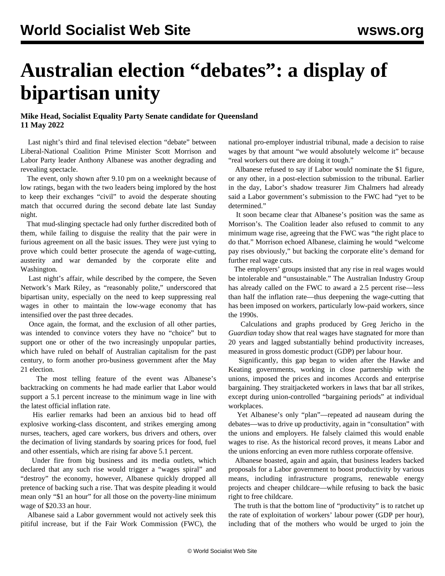## <span id="page-0-0"></span>**Australian election "debates": a display of bipartisan unity**

## **Mike Head, Socialist Equality Party Senate candidate for Queensland 11 May 2022**

 Last night's third and final televised election "debate" between Liberal-National Coalition Prime Minister Scott Morrison and Labor Party leader Anthony Albanese was another degrading and revealing spectacle.

 The event, only shown after 9.10 pm on a weeknight because of low ratings, began with the two leaders being implored by the host to keep their exchanges "civil" to avoid the desperate shouting match that occurred during the second debate late last Sunday night.

 That mud-slinging spectacle had only further discredited both of them, while failing to disguise the reality that the pair were in furious agreement on all the basic issues. They were just vying to prove which could better prosecute the agenda of wage-cutting, austerity and war demanded by the corporate elite and Washington.

 Last night's affair, while described by the compere, the Seven Network's Mark Riley, as "reasonably polite," underscored that bipartisan unity, especially on the need to keep suppressing real wages in other to maintain the low-wage economy that has intensified over the past three decades.

 Once again, the format, and the exclusion of all other parties, was intended to convince voters they have no "choice" but to support one or other of the two increasingly unpopular parties, which have ruled on behalf of Australian capitalism for the past century, to form another pro-business government after the May 21 election.

 The most telling feature of the event was Albanese's backtracking on comments he had made earlier that Labor would support a 5.1 percent increase to the minimum wage in line with the latest official inflation rate.

 His earlier remarks had been an anxious bid to head off explosive working-class discontent, and strikes emerging among nurses, teachers, aged care workers, bus drivers and others, over the decimation of living standards by soaring prices for food, fuel and other essentials, which are rising far above 5.1 percent.

 Under fire from big business and its media outlets, which declared that any such rise would trigger a "wages spiral" and "destroy" the economy, however, Albanese quickly dropped all pretence of backing such a rise. That was despite pleading it would mean only "\$1 an hour" for all those on the poverty-line minimum wage of \$20.33 an hour.

 Albanese said a Labor government would not actively seek this pitiful increase, but if the Fair Work Commission (FWC), the national pro-employer industrial tribunal, made a decision to raise wages by that amount "we would absolutely welcome it" because "real workers out there are doing it tough."

 Albanese refused to say if Labor would nominate the \$1 figure, or any other, in a post-election submission to the tribunal. Earlier in the day, Labor's shadow treasurer Jim Chalmers had already said a Labor government's submission to the FWC had "yet to be determined."

 It soon became clear that Albanese's position was the same as Morrison's. The Coalition leader also refused to commit to any minimum wage rise, agreeing that the FWC was "the right place to do that." Morrison echoed Albanese, claiming he would "welcome pay rises obviously," but backing the corporate elite's demand for further real wage cuts.

 The employers' groups insisted that any rise in real wages would be intolerable and "unsustainable." The Australian Industry Group has already called on the FWC to award a 2.5 percent rise—less than half the inflation rate—thus deepening the wage-cutting that has been imposed on workers, particularly low-paid workers, since the 1990s.

 Calculations and graphs produced by Greg Jericho in the *Guardian* today show that real wages have stagnated for more than 20 years and lagged substantially behind productivity increases, measured in gross domestic product (GDP) per labour hour.

 Significantly, this gap began to widen after the Hawke and Keating governments, working in close partnership with the unions, imposed the prices and incomes Accords and enterprise bargaining. They straitjacketed workers in laws that bar all strikes, except during union-controlled "bargaining periods" at individual workplaces.

 Yet Albanese's only "plan"—repeated ad nauseam during the debates—was to drive up productivity, again in "consultation" with the unions and employers. He falsely claimed this would enable wages to rise. As the historical record proves, it means Labor and the unions enforcing an even more ruthless corporate offensive.

 Albanese boasted, again and again, that business leaders backed proposals for a Labor government to boost productivity by various means, including infrastructure programs, renewable energy projects and cheaper childcare—while refusing to back the basic right to free childcare.

 The truth is that the bottom line of "productivity" is to ratchet up the rate of exploitation of workers' labour power (GDP per hour), including that of the mothers who would be urged to join the